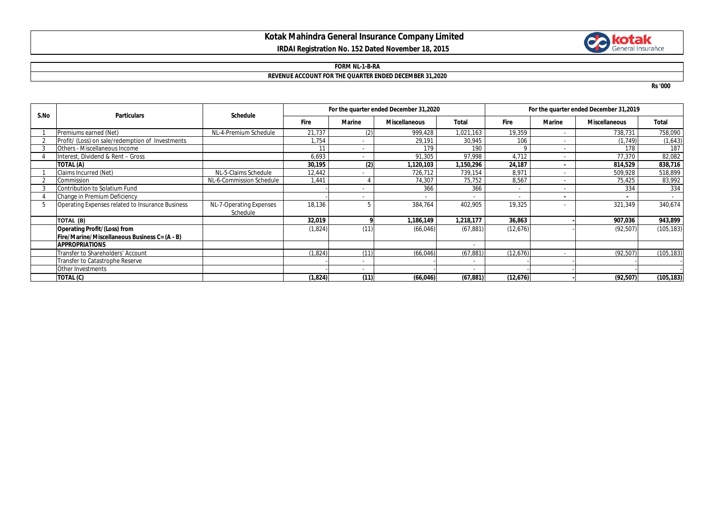# **Kotak Mahindra General Insurance Company Limited IRDAI Registration No. 152 Dated November 18, 2015**



#### **FORM NL-1-B-RA**

## **REVENUE ACCOUNT FOR THE QUARTER ENDED DECEMBER 31,2020**

**Rs '000**

| S.No | <b>Particulars</b>                               | <b>Schedule</b>                     | For the quarter ended December 31,2020 |        |                      |           | For the quarter ended December 31,2019 |               |                      |            |
|------|--------------------------------------------------|-------------------------------------|----------------------------------------|--------|----------------------|-----------|----------------------------------------|---------------|----------------------|------------|
|      |                                                  |                                     | <b>Fire</b>                            | Marine | <b>Miscellaneous</b> | Total     | <b>Fire</b>                            | <b>Marine</b> | <b>Miscellaneous</b> | Total      |
|      | Premiums earned (Net)                            | NL-4-Premium Schedule               | 21,737                                 | (2)    | 999,428              | 1,021,163 | 19,359                                 | $\sim$        | 738,731              | 758,090    |
|      | Profit/ (Loss) on sale/redemption of Investments |                                     | 1,754                                  | $\sim$ | 29,191               | 30,945    | 106                                    | $\sim$        | (1, 749)             | (1,643)    |
|      | <b>Others - Miscellaneous Income</b>             |                                     | 11                                     | $\sim$ | 179                  | 190       | Q                                      |               | 178                  | 187        |
|      | Interest, Dividend & Rent - Gross                |                                     | 6,693                                  | $\sim$ | 91,305               | 97,998    | 4,712                                  | $\sim$        | 77,370               | 82,082     |
|      | TOTAL (A)                                        |                                     | 30,195                                 | (2)    | 1,120,103            | ,150,296  | 24,187                                 |               | 814,529              | 838,716    |
|      | Claims Incurred (Net)                            | NL-5-Claims Schedule                | 12,442                                 |        | 726,712              | 739,154   | 8.97                                   |               | 509,928              | 518,899    |
|      | Commission                                       | NL-6-Commission Schedule            | 1,441                                  |        | 74,307               | 75,752    | 8,567                                  | $\sim$        | 75,425               | 83,992     |
|      | Contribution to Solatium Fund                    |                                     |                                        |        | 366                  | 366       |                                        |               | 334                  | 334        |
|      | Change in Premium Deficiency                     |                                     |                                        |        |                      |           |                                        |               |                      |            |
| 5    | Operating Expenses related to Insurance Business | NL-7-Operating Expenses<br>Schedule | 18,136                                 |        | 384,764              | 402,905   | 19,325                                 |               | 321,349              | 340,674    |
|      | TOTAL (B)                                        |                                     | 32,019                                 |        | 1,186,149            | 1,218,177 | 36,863                                 |               | 907,036              | 943,899    |
|      | <b>Operating Profit/(Loss) from</b>              |                                     | (1,824)                                | (11)   | (66, 046)            | (67, 881) | (12, 676)                              |               | (92, 507)            | (105, 183) |
|      | Fire/Marine/Miscellaneous Business C= (A - B)    |                                     |                                        |        |                      |           |                                        |               |                      |            |
|      | <b>APPROPRIATIONS</b>                            |                                     |                                        |        |                      |           |                                        |               |                      |            |
|      | Transfer to Shareholders' Account                |                                     | (1, 824)                               | (11)   | (66, 046)            | (67, 881) | (12, 676)                              |               | (92, 507)            | (105, 183) |
|      | Transfer to Catastrophe Reserve                  |                                     |                                        |        |                      |           |                                        |               |                      |            |
|      | Other Investments                                |                                     |                                        |        |                      |           |                                        |               |                      |            |
|      | TOTAL (C)                                        |                                     | (1, 824)                               | (11)   | (66, 046)            | (67, 881) | (12, 676)                              |               | (92, 507)            | (105, 183) |